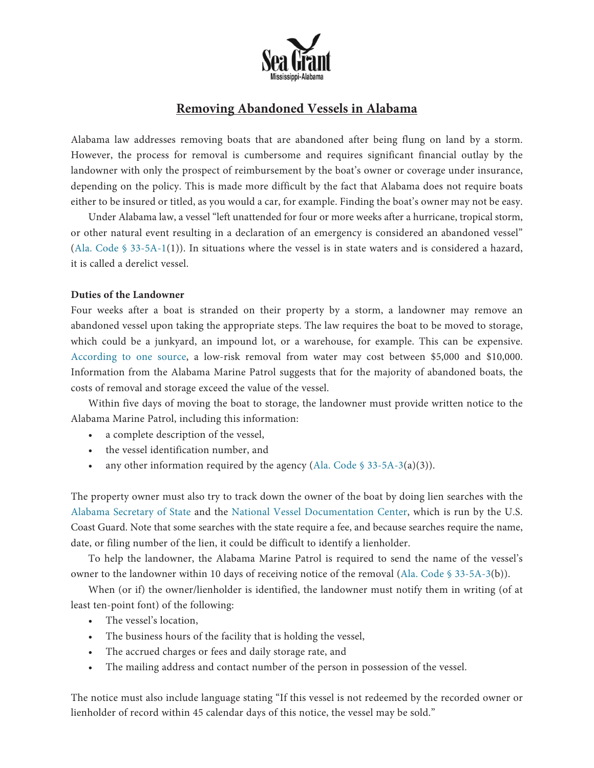

# **Removing Abandoned Vessels in Alabama**

Alabama law addresses removing boats that are abandoned after being flung on land by a storm. However, the process for removal is cumbersome and requires significant financial outlay by the landowner with only the prospect of reimbursement by the boat's owner or coverage under insurance, depending on the policy. This is made more difficult by the fact that Alabama does not require boats either to be insured or titled, as you would a car, for example. Finding the boat's owner may not be easy.

Under Alabama law, a vessel "left unattended for four or more weeks after a hurricane, tropical storm, or other natural event resulting in a declaration of an emergency is considered an abandoned vessel" (Ala. Code § [33-5A-1\(1\)\).](https://casetext.com/statute/code-of-alabama/title-33-navigation-and-watercourses/chapter-5a-abandoned-and-derelict-vessels/section-33-5a-1-definitions) In situations where the vessel is in state waters and is considered a hazard, it is called a derelict vessel.

## **Duties of the Landowner**

Four weeks after a boat is stranded on their property by a storm, a landowner may remove an abandoned vessel upon taking the appropriate steps. The law requires the boat to be moved to storage, which could be a junkyard, an impound lot, or a warehouse, for example. This can be expensive. [According](https://wusfnews.wusf.usf.edu/environment/2020-01-29/abandoned-boats-in-florida-waters-causing-financial-concerns) to one source, a low-risk removal from water may cost between \$5,000 and \$10,000. Information from the Alabama Marine Patrol suggests that for the majority of abandoned boats, the costs of removal and storage exceed the value of the vessel.

Within five days of moving the boat to storage, the landowner must provide written notice to the Alabama Marine Patrol, including this information:

- a complete description of the vessel,
- the vessel identification number, and
- any other information required by the agency (Ala. Code  $\frac{1}{2}$  [33-5A-3\(a\)\(3\)\).](https://casetext.com/statute/code-of-alabama/title-33-navigation-and-watercourses/chapter-5a-abandoned-and-derelict-vessels/section-33-5a-3-duty)

The property owner must also try to track down the owner of the boat by doing lien searches with the Alabama [Secretary](https://www.sos.alabama.gov/government-records/ucc-records) of State and the National Vessel [Documentation](https://www.dco.uscg.mil/Our-Organization/Deputy-for-Operations-Policy-and-Capabilities-DCO-D/National-Vessel-Documentation-Center/) Center, which is run by the U.S. Coast Guard. Note that some searches with the state require a fee, and because searches require the name, date, or filing number of the lien, it could be difficult to identify a lienholder.

To help the landowner, the Alabama Marine Patrol is required to send the name of the vessel's owner to the landowner within 10 days of receiving notice of the removal (Ala. Code § [33-5A-3\(b\)\).](https://casetext.com/statute/code-of-alabama/title-33-navigation-and-watercourses/chapter-5a-abandoned-and-derelict-vessels/section-33-5a-3-duty)

When (or if) the owner/lienholder is identified, the landowner must notify them in writing (of at least ten-point font) of the following:

- The vessel's location,
- The business hours of the facility that is holding the vessel,
- The accrued charges or fees and daily storage rate, and
- The mailing address and contact number of the person in possession of the vessel.

The notice must also include language stating "If this vessel is not redeemed by the recorded owner or lienholder of record within 45 calendar days of this notice, the vessel may be sold."